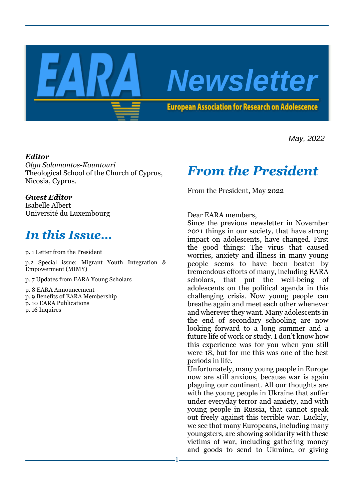

*May, 2022*

## *Editor*

*Olga Solomontos-Kountouri* Theological School of the Church of Cyprus, Nicosia, Cyprus.

### *Guest Editor*

Isabelle Albert Université du Luxembourg

## *In this Issue…*

p. 1 Letter from the President

p.2 Special issue: Migrant Youth Integration & Empowerment (MIMY)

- p. 7 Updates from EARA Young Scholars
- p. 8 EARA Announcement
- p. 9 Benefits of EARA Membership
- p. 10 EARA Publications
- p. 16 Inquires

## *From the President*

From the President, May 2022

Dear EARA members,

Since the previous newsletter in November 2021 things in our society, that have strong impact on adolescents, have changed. First the good things: The virus that caused worries, anxiety and illness in many young people seems to have been beaten by tremendous efforts of many, including EARA scholars, that put the well-being of adolescents on the political agenda in this challenging crisis. Now young people can breathe again and meet each other whenever and wherever they want. Many adolescents in the end of secondary schooling are now looking forward to a long summer and a future life of work or study. I don't know how this experience was for you when you still were 18, but for me this was one of the best periods in life.

Unfortunately, many young people in Europe now are still anxious, because war is again plaguing our continent. All our thoughts are with the young people in Ukraine that suffer under everyday terror and anxiety, and with young people in Russia, that cannot speak out freely against this terrible war. Luckily, we see that many Europeans, including many youngsters, are showing solidarity with these victims of war, including gathering money and goods to send to Ukraine, or giving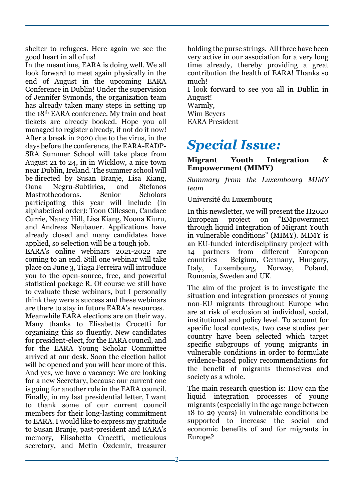shelter to refugees. Here again we see the good heart in all of us!

In the meantime, EARA is doing well. We all look forward to meet again physically in the end of August in the upcoming EARA Conference in Dublin! Under the supervision of Jennifer Symonds, the organization team has already taken many steps in setting up the 18th EARA conference. My train and boat tickets are already booked. Hope you all managed to register already, if not do it now! After a break in 2020 due to the virus, in the days before the conference, the EARA-EADP-SRA Summer School will take place from August 21 to 24, in in Wicklow, a nice town near Dublin, Ireland. The summer school will be directed by Susan Branje, Lisa Kiang, Oana Negru-Subtirica, and Stefanos Mastrotheodoros. Senior Scholars participating this year will include (in alphabetical order): Toon Cillessen, Candace Currie, Nancy Hill, Lisa Kiang, Noona Kiuru, and Andreas Neubauer. Applications have already closed and many candidates have applied, so selection will be a tough job.

EARA's online webinars 2021-2022 are coming to an end. Still one webinar will take place on June 3, Tiaga Ferreira will introduce you to the open-source, free, and powerful statistical package R. Of course we still have to evaluate these webinars, but I personally think they were a success and these webinars are there to stay in future EARA's resources.

Meanwhile EARA elections are on their way. Many thanks to Elisabetta Crocetti for organizing this so fluently. New candidates for president-elect, for the EARA council, and for the EARA Young Scholar Committee arrived at our desk. Soon the election ballot will be opened and you will hear more of this. And yes, we have a vacancy: We are looking for a new Secretary, because our current one is going for another role in the EARA council. Finally, in my last presidential letter, I want to thank some of our current council members for their long-lasting commitment to EARA. I would like to express my gratitude to Susan Branje, past-president and EARA's memory, Elisabetta Crocetti, meticulous secretary, and Metin Özdemir, treasurer

holding the purse strings. All three have been very active in our association for a very long time already, thereby providing a great contribution the health of EARA! Thanks so much!

I look forward to see you all in Dublin in August!

- Warmly,
- Wim Beyers

EARA President

# *Special Issue:*

**Migrant Youth Integration & Empowerment (MIMY)**

*Summary from the Luxembourg MIMY team* 

Université du Luxembourg

In this newsletter, we will present the H2020 European project on "EMpowerment through liquid Integration of Migrant Youth in vulnerable conditions" (MIMY). MIMY is an EU-funded interdisciplinary project with 14 partners from different European countries – Belgium, Germany, Hungary, Italy, Luxembourg, Norway, Poland, Romania, Sweden and UK.

The aim of the project is to investigate the situation and integration processes of young non-EU migrants throughout Europe who are at risk of exclusion at individual, social, institutional and policy level. To account for specific local contexts, two case studies per country have been selected which target specific subgroups of young migrants in vulnerable conditions in order to formulate evidence-based policy recommendations for the benefit of migrants themselves and society as a whole.

The main research question is: How can the liquid integration processes of young migrants (especially in the age range between 18 to 29 years) in vulnerable conditions be supported to increase the social and economic benefits of and for migrants in Europe?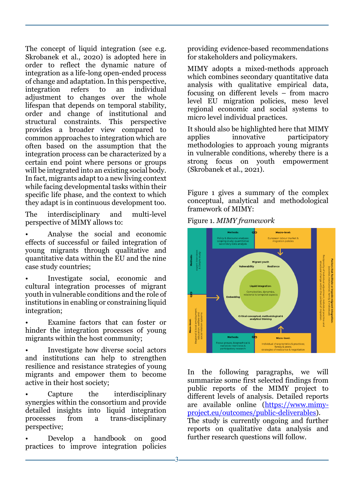The concept of liquid integration (see e.g. Skrobanek et al., 2020) is adopted here in order to reflect the dynamic nature of integration as a life-long open-ended process of change and adaptation. In this perspective, integration refers to an individual adjustment to changes over the whole lifespan that depends on temporal stability, order and change of institutional and structural constraints. This perspective provides a broader view compared to common approaches to integration which are often based on the assumption that the integration process can be characterized by a certain end point where persons or groups will be integrated into an existing social body. In fact, migrants adapt to a new living context while facing developmental tasks within their specific life phase, and the context to which they adapt is in continuous development too.

The interdisciplinary and multi-level perspective of MIMY allows to:

• Analyse the social and economic effects of successful or failed integration of young migrants through qualitative and quantitative data within the EU and the nine case study countries;

• Investigate social, economic and cultural integration processes of migrant youth in vulnerable conditions and the role of institutions in enabling or constraining liquid integration;

Examine factors that can foster or hinder the integration processes of young migrants within the host community;

• Investigate how diverse social actors and institutions can help to strengthen resilience and resistance strategies of young migrants and empower them to become active in their host society;

Capture the interdisciplinary synergies within the consortium and provide detailed insights into liquid integration processes from a trans-disciplinary perspective;

• Develop a handbook on good practices to improve integration policies

providing evidence-based recommendations for stakeholders and policymakers.

MIMY adopts a mixed-methods approach which combines secondary quantitative data analysis with qualitative empirical data, focusing on different levels – from macro level EU migration policies, meso level regional economic and social systems to micro level individual practices.

It should also be highlighted here that MIMY applies innovative participatory methodologies to approach young migrants in vulnerable conditions, whereby there is a strong focus on youth empowerment (Skrobanek et al., 2021).

Figure 1 gives a summary of the complex conceptual, analytical and methodological framework of MIMY:

Figure 1. *MIMY framework*



In the following paragraphs, we will summarize some first selected findings from public reports of the MIMY project to different levels of analysis. Detailed reports are available online [\(https://www.mimy](https://www.mimy-project.eu/outcomes/public-deliverables)[project.eu/outcomes/public-deliverables\)](https://www.mimy-project.eu/outcomes/public-deliverables).

The study is currently ongoing and further reports on qualitative data analysis and further research questions will follow.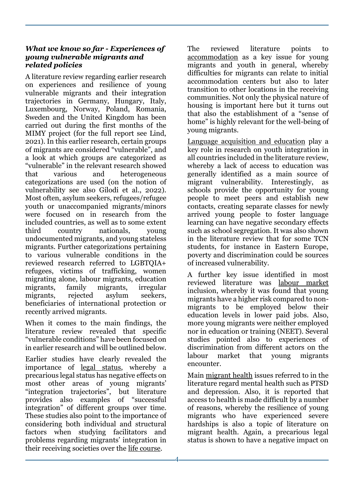### *What we know so far - Experiences of young vulnerable migrants and related policies*

A literature review regarding earlier research on experiences and resilience of young vulnerable migrants and their integration trajectories in Germany, Hungary, Italy, Luxembourg, Norway, Poland, Romania, Sweden and the United Kingdom has been carried out during the first months of the MIMY project (for the full report see Lind, 2021). In this earlier research, certain groups of migrants are considered "vulnerable", and a look at which groups are categorized as "vulnerable" in the relevant research showed that various and heterogeneous categorizations are used (on the notion of vulnerability see also Gilodi et al., 2022). Most often, asylum seekers, refugees/refugee youth or unaccompanied migrants/minors were focused on in research from the included countries, as well as to some extent third country nationals, young undocumented migrants, and young stateless migrants. Further categorizations pertaining to various vulnerable conditions in the reviewed research referred to LGBTQIA+ refugees, victims of trafficking, women migrating alone, labour migrants, education migrants, family migrants, irregular migrants, rejected asylum seekers, beneficiaries of international protection or recently arrived migrants.

When it comes to the main findings, the literature review revealed that specific "vulnerable conditions" have been focused on in earlier research and will be outlined below.

Earlier studies have clearly revealed the importance of legal status, whereby a precarious legal status has negative effects on most other areas of young migrants' "integration trajectories", but literature provides also examples of "successful integration" of different groups over time. These studies also point to the importance of considering both individual and structural factors when studying facilitators and problems regarding migrants' integration in their receiving societies over the life course.

The reviewed literature points to accommodation as a key issue for young migrants and youth in general, whereby difficulties for migrants can relate to initial accommodation centers but also to later transition to other locations in the receiving communities. Not only the physical nature of housing is important here but it turns out that also the establishment of a "sense of home" is highly relevant for the well-being of young migrants.

Language acquisition and education play a key role in research on youth integration in all countries included in the literature review, whereby a lack of access to education was generally identified as a main source of migrant vulnerability. Interestingly, as schools provide the opportunity for young people to meet peers and establish new contacts, creating separate classes for newly arrived young people to foster language learning can have negative secondary effects such as school segregation. It was also shown in the literature review that for some TCN students, for instance in Eastern Europe, poverty and discrimination could be sources of increased vulnerability.

A further key issue identified in most reviewed literature was labour market inclusion, whereby it was found that young migrants have a higher risk compared to nonmigrants to be employed below their education levels in lower paid jobs. Also, more young migrants were neither employed nor in education or training (NEET). Several studies pointed also to experiences of discrimination from different actors on the labour market that young migrants encounter.

Main migrant health issues referred to in the literature regard mental health such as PTSD and depression. Also, it is reported that access to health is made difficult by a number of reasons, whereby the resilience of young migrants who have experienced severe hardships is also a topic of literature on migrant health. Again, a precarious legal status is shown to have a negative impact on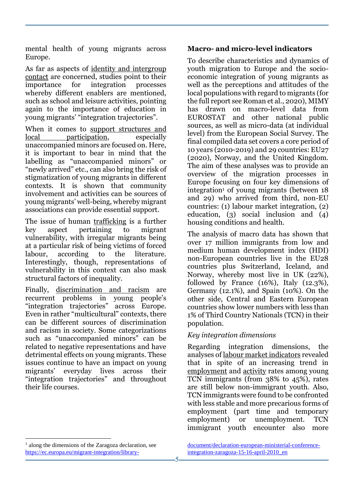mental health of young migrants across Europe.

As far as aspects of identity and intergroup contact are concerned, studies point to their importance for integration processes whereby different enablers are mentioned, such as school and leisure activities, pointing again to the importance of education in young migrants' "integration trajectories".

When it comes to support structures and local participation, especially unaccompanied minors are focused on. Here, it is important to bear in mind that the labelling as "unaccompanied minors" or "newly arrived" etc., can also bring the risk of stigmatization of young migrants in different contexts. It is shown that community involvement and activities can be sources of young migrants' well-being, whereby migrant associations can provide essential support.

The issue of human trafficking is a further key aspect pertaining to migrant vulnerability, with irregular migrants being at a particular risk of being victims of forced labour, according to the literature. Interestingly, though, representations of vulnerability in this context can also mask structural factors of inequality.

Finally, discrimination and racism are recurrent problems in young people's "integration trajectories" across Europe. Even in rather "multicultural" contexts, there can be different sources of discrimination and racism in society. Some categorizations such as "unaccompanied minors" can be related to negative representations and have detrimental effects on young migrants. These issues continue to have an impact on young migrants' everyday lives across their "integration trajectories" and throughout their life courses.

### **Macro- and micro-level indicators**

To describe characteristics and dynamics of youth migration to Europe and the socioeconomic integration of young migrants as well as the perceptions and attitudes of the local populations with regard to migrants (for the full report see Roman et al., 2020), MIMY has drawn on macro-level data from EUROSTAT and other national public sources, as well as micro-data (at individual level) from the European Social Survey. The final compiled data set covers a core period of 10 years (2010-2019) and 29 countries: EU27 (2020), Norway, and the United Kingdom. The aim of these analyses was to provide an overview of the migration processes in Europe focusing on four key dimensions of  $integration<sup>1</sup>$  of young migrants (between 18 and 29) who arrived from third, non-EU countries: (1) labour market integration, (2) education, (3) social inclusion and (4) housing conditions and health.

The analysis of macro data has shown that over 17 million immigrants from low and medium human development index (HDI) non-European countries live in the EU28 countries plus Switzerland, Iceland, and Norway, whereby most live in UK (22%), followed by France (16%), Italy (12.3%), Germany (12.1%), and Spain (10%). On the other side, Central and Eastern European countries show lower numbers with less than 1% of Third Country Nationals (TCN) in their population.

## *Key integration dimensions*

Regarding integration dimensions, the analyses of labour market indicators revealed that in spite of an increasing trend in employment and activity rates among young TCN immigrants (from 38% to 45%), rates are still below non-immigrant youth. Also, TCN immigrants were found to be confronted with less stable and more precarious forms of employment (part time and temporary employment) or unemployment. TCN immigrant youth encounter also more

 $\overline{a}$ 

<sup>&</sup>lt;sup>1</sup> along the dimensions of the Zaragoza declaration, see [https://ec.europa.eu/migrant-integration/library-](https://ec.europa.eu/migrant-integration/library-document/declaration-european-ministerial-conference-integration-zaragoza-15-16-april-2010_en)

[document/declaration-european-ministerial-conference](https://ec.europa.eu/migrant-integration/library-document/declaration-european-ministerial-conference-integration-zaragoza-15-16-april-2010_en)[integration-zaragoza-15-16-april-2010\\_en](https://ec.europa.eu/migrant-integration/library-document/declaration-european-ministerial-conference-integration-zaragoza-15-16-april-2010_en)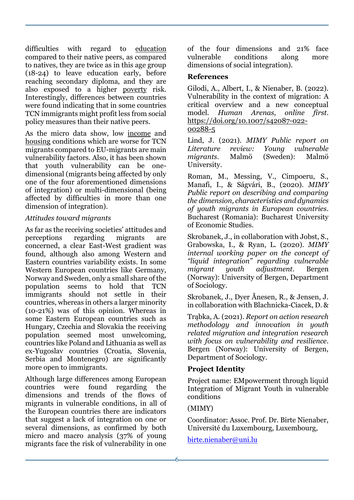difficulties with regard to education compared to their native peers, as compared to natives, they are twice as in this age group (18-24) to leave education early, before reaching secondary diploma, and they are also exposed to a higher poverty risk. Interestingly, differences between countries were found indicating that in some countries TCN immigrants might profit less from social policy measures than their native peers.

As the micro data show, low income and housing conditions which are worse for TCN migrants compared to EU-migrants are main vulnerability factors. Also, it has been shown that youth vulnerability can be onedimensional (migrants being affected by only one of the four aforementioned dimensions of integration) or multi-dimensional (being affected by difficulties in more than one dimension of integration).

## *Attitudes toward migrants*

As far as the receiving societies' attitudes and perceptions regarding migrants are concerned, a clear East-West gradient was found, although also among Western and Eastern countries variability exists. In some Western European countries like Germany, Norway and Sweden, only a small share of the population seems to hold that TCN immigrants should not settle in their countries, whereas in others a larger minority (10-21%) was of this opinion. Whereas in some Eastern European countries such as Hungary, Czechia and Slovakia the receiving population seemed most unwelcoming, countries like Poland and Lithuania as well as ex-Yugoslav countries (Croatia, Slovenia, Serbia and Montenegro) are significantly more open to immigrants.

Although large differences among European countries were found regarding the dimensions and trends of the flows of migrants in vulnerable conditions, in all of the European countries there are indicators that suggest a lack of integration on one or several dimensions, as confirmed by both micro and macro analysis (37% of young migrants face the risk of vulnerability in one

of the four dimensions and 21% face vulnerable conditions along more dimensions of social integration).

### **References**

Gilodi, A., Albert, I., & Nienaber, B. (2022). Vulnerability in the context of migration: A critical overview and a new conceptual model. *Human Arenas*, *online first*. [https://doi.org/10.1007/s42087-022-](https://doi.org/10.1007/s42087-022-00288-5) [00288-5](https://doi.org/10.1007/s42087-022-00288-5)

Lind, J. (2021). *MIMY Public report on Literature review: Young vulnerable migrants*. Malmö (Sweden): Malmö University.

Roman, M., Messing, V., Cimpoeru, S., Manafi, I., & Ságvári, B., (2020). *MIMY Public report on describing and comparing the dimension, characteristics and dynamics of youth migrants in European countries*. Bucharest (Romania): Bucharest University of Economic Studies.

Skrobanek, J., in collaboration with Jobst, S., Grabowska, I., & Ryan, L. (2020). *MIMY internal working paper on the concept of "liquid integration" regarding vulnerable migrant youth adjustment*. Bergen (Norway): University of Bergen, Department of Sociology.

Skrobanek, J., Dyer Ånesen, R., & Jensen, J. in collaboration with Blachnicka-Ciacek, D. &

Trąbka, A. (2021). *Report on action research methodology and innovation in youth related migration and integration research with focus on vulnerability and resilience*. Bergen (Norway): University of Bergen, Department of Sociology.

## **Project Identity**

Project name: EMpowerment through liquid Integration of Migrant Youth in vulnerable conditions

## (MIMY)

Coordinator: Assoc. Prof. Dr. Birte Nienaber, Université du Luxembourg, Luxembourg,

[birte.nienaber@uni.lu](mailto:birte.nienaber@uni.lu)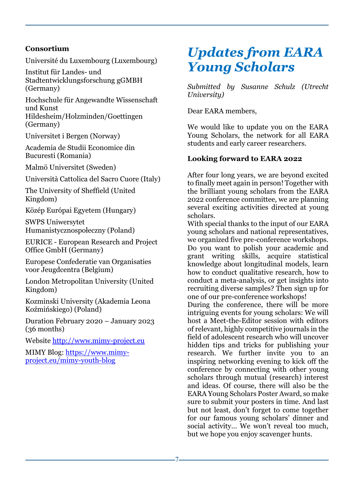## **Consortium**

Université du Luxembourg (Luxembourg)

Institut für Landes- und Stadtentwicklungsforschung gGMBH (Germany)

Hochschule für Angewandte Wissenschaft und Kunst

Hildesheim/Holzminden/Goettingen (Germany)

Universitet i Bergen (Norway)

Academia de Studii Economice din Bucuresti (Romania)

Malmö Universitet (Sweden)

Università Cattolica del Sacro Cuore (Italy)

The University of Sheffield (United Kingdom)

Közép Európai Egyetem (Hungary)

SWPS Uniwersytet Humanistycznospołeczny (Poland)

EURICE - European Research and Project Office GmbH (Germany)

Europese Confederatie van Organisaties voor Jeugdcentra (Belgium)

London Metropolitan University (United Kingdom)

Kozminski University (Akademia Leona Koźmińskiego) (Poland)

Duration February 2020 – January 2023 (36 months)

Website [http://www.mimy-project.eu](http://www.mimy-project.eu/)

MIMY Blog: [https://www.mimy](https://www.mimy-project.eu/mimy-youth-blog)[project.eu/mimy-youth-blog](https://www.mimy-project.eu/mimy-youth-blog)

# *Updates from EARA Young Scholars*

*Submitted by Susanne Schulz (Utrecht University)*

Dear EARA members,

We would like to update you on the EARA Young Scholars, the network for all EARA students and early career researchers.

## **Looking forward to EARA 2022**

After four long years, we are beyond excited to finally meet again in person! Together with the brilliant young scholars from the EARA 2022 conference committee, we are planning several exciting activities directed at young scholars.

With special thanks to the input of our EARA young scholars and national representatives, we organized five pre-conference workshops. Do you want to polish your academic and grant writing skills, acquire statistical knowledge about longitudinal models, learn how to conduct qualitative research, how to conduct a meta-analysis, or get insights into recruiting diverse samples? Then sign up for one of our pre-conference workshops!

During the conference, there will be more intriguing events for young scholars: We will host a Meet-the-Editor session with editors of relevant, highly competitive journals in the field of adolescent research who will uncover hidden tips and tricks for publishing your research. We further invite you to an inspiring networking evening to kick off the conference by connecting with other young scholars through mutual (research) interest and ideas. Of course, there will also be the EARA Young Scholars Poster Award, so make sure to submit your posters in time. And last but not least, don't forget to come together for our famous young scholars' dinner and social activity… We won't reveal too much, but we hope you enjoy scavenger hunts.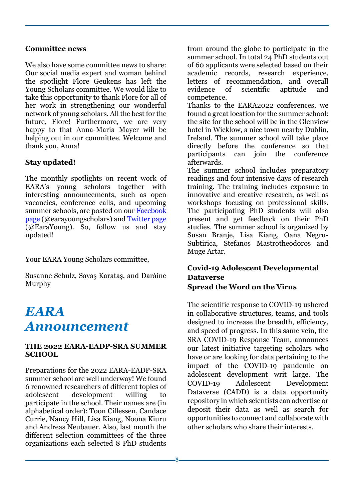#### **Committee news**

We also have some committee news to share: Our social media expert and woman behind the spotlight Flore Geukens has left the Young Scholars committee. We would like to take this opportunity to thank Flore for all of her work in strengthening our wonderful network of young scholars. All the best for the future, Flore! Furthermore, we are very happy to that Anna-Maria Mayer will be helping out in our committee. Welcome and thank you, Anna!

## **Stay updated!**

The monthly spotlights on recent work of EARA's young scholars together with interesting announcements, such as open vacancies, conference calls, and upcoming summer schools, are posted on our [Facebook](https://www.facebook.com/earayoungscholars/)  [page](https://www.facebook.com/earayoungscholars/) (@earayoungscholars) and [Twitter page](https://twitter.com/EaraYoung) (@EaraYoung). So, follow us and stay updated!

Your EARA Young Scholars committee,

Susanne Schulz, Savaş Karataş, and Daráine Murphy

## *EARA Announcement*

### **THE 2022 EARA-EADP-SRA SUMMER SCHOOL**

Preparations for the 2022 EARA-EADP-SRA summer school are well underway! We found 6 renowned researchers of different topics of adolescent development willing to participate in the school. Their names are (in alphabetical order): Toon Cillessen, Candace Currie, Nancy Hill, Lisa Kiang, Noona Kiuru and Andreas Neubauer. Also, last month the different selection committees of the three organizations each selected 8 PhD students

from around the globe to participate in the summer school. In total 24 PhD students out of 60 applicants were selected based on their academic records, research experience, letters of recommendation, and overall evidence of scientific aptitude and competence.

Thanks to the EARA2022 conferences, we found a great location for the summer school: the site for the school will be in the Glenview hotel in Wicklow, a nice town nearby Dublin, Ireland. The summer school will take place directly before the conference so that participants can join the conference afterwards.

The summer school includes preparatory readings and four intensive days of research training. The training includes exposure to innovative and creative research, as well as workshops focusing on professional skills. The participating PhD students will also present and get feedback on their PhD studies. The summer school is organized by Susan Branje, Lisa Kiang, Oana Negru-Subtirica, Stefanos Mastrotheodoros and Muge Artar.

## **Covid-19 Adolescent Developmental Dataverse Spread the Word on the Virus**

The scientific response to COVID-19 ushered in collaborative structures, teams, and tools designed to increase the breadth, efficiency, and speed of progress. In this same vein, the SRA COVID-19 Response Team, announces our latest initiative targeting scholars who have or are looking for data pertaining to the impact of the COVID-19 pandemic on adolescent development writ large. The COVID-19 Adolescent Development Dataverse (CADD) is a data opportunity repository in which scientists can advertise or deposit their data as well as search for opportunities to connect and collaborate with other scholars who share their interests.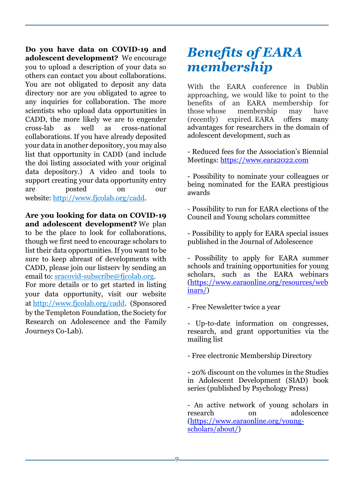**Do you have data on COVID-19 and adolescent development?** We encourage you to upload a description of your data so others can contact you about collaborations. You are not obligated to deposit any data directory nor are you obligated to agree to any inquiries for collaboration. The more scientists who upload data opportunities in CADD, the more likely we are to engender cross-lab as well as cross-national collaborations. If you have already deposited your data in another depository, you may also list that opportunity in CADD (and include the doi listing associated with your original data depository.) A video and tools to support creating your data opportunity entry are posted on our website: [http://www.fjcolab.org/cadd.](http://clicks.memberclicks-mail.net/ls/click?upn=GaOISj6WWRTmiub7e7qeoxoXlXIQAaB27IqgE1CPz73-2FdnljpmmVC10fo15miAsB-2BBonZuSnuy5oltcHswNxJ-2BGxPsvUjBq63m1mhfM9yF5dfC3uczE9SUqbahxxysOzOGQQ_G6E9doLgyn8uJHiIZBqlsaM3-2FbPN-2BjJV8PvcJbcaz05RcVVNlieVbRKI5cOUvdbcrmCRrQRptvLOQ2AoqeWwgtdTaM0f8eXyuU0gSte4xzeb9O0U4sWgGQXnPeGd4gjj6x0w0q1wZ9Ocj0AWlEfIcyMJHXHYSOVyCv8f2b3U345KloYMX6EqfYFU1pao7xnV0KHZE2joCti4q5aO-2Ff51kp9sPGMV98eQw-2FvnnnsKR0JEp63upRyA5mP3a0eVnQhD7F7Bg0Dgpygh37esmc7OdaRoDE03dKlc30wZKxEafQxczNK0O7xlDjz2CdpRwZk8)

**Are you looking for data on COVID-19 and adolescent development?** We plan to be the place to look for collaborations, though we first need to encourage scholars to list their data opportunities. If you want to be sure to keep abreast of developments with CADD, please join our listserv by sending an email to: sracovid-subscribe@ficolab.org. For more details or to get started in listing

your data opportunity, visit our website at [http://www.fjcolab.org/cadd.](http://clicks.memberclicks-mail.net/ls/click?upn=GaOISj6WWRTmiub7e7qeoxoXlXIQAaB27IqgE1CPz73-2FdnljpmmVC10fo15miAsB-2BBonZuSnuy5oltcHswNxJ-2BGxPsvUjBq63m1mhfM9yF5dfC3uczE9SUqbahxxysOzUGWb_G6E9doLgyn8uJHiIZBqlsaM3-2FbPN-2BjJV8PvcJbcaz05RcVVNlieVbRKI5cOUvdbcrmCRrQRptvLOQ2AoqeWwgtdTaM0f8eXyuU0gSte4xzeb9O0U4sWgGQXnPeGd4gjj6x0w0q1wZ9Ocj0AWlEfIcyMJHXHYSOVyCv8f2b3U347X2SRrjI8hF9ifyhXipYByAAMT6tTFIQfqXJ5xaTAFAK3Qm3bA8sVc8ktZEncGG4xXLyFB-2BjSWmu184CLU2VTy-2F3xSK7tYCs5hUJqoEb53uWnaJsOLn5-2Bik5ebYDey7Hs1z-2F0ZuwFT95kGOk-2BEJREA) (Sponsored by the Templeton Foundation, the Society for Research on Adolescence and the Family Journeys Co-Lab).

# *Benefits of EARA membership*

With the EARA conference in Dublin approaching, we would like to point to the benefits of an EARA membership for those whose membership may have (recently) expired. EARA offers many advantages for researchers in the domain of adolescent development, such as

- Reduced fees for the Association's Biennial Meetings: [https://www.eara2022.com](https://www.eara2022.com/)

- Possibility to nominate your colleagues or being nominated for the EARA prestigious awards

- Possibility to run for EARA elections of the Council and Young scholars committee

- Possibility to apply for EARA special issues published in the Journal of Adolescence

- Possibility to apply for EARA summer schools and training opportunities for young scholars, such as the EARA webinars [\(https://www.earaonline.org/resources/web](https://www.earaonline.org/resources/webinars/) [inars/\)](https://www.earaonline.org/resources/webinars/)

- Free Newsletter twice a year

- Up-to-date information on congresses, research, and grant opportunities via the mailing list

- Free electronic Membership Directory

- 20% discount on the volumes in the Studies in Adolescent Development (SIAD) book series (published by Psychology Press)

- An active network of young scholars in research on adolescence [\(https://www.earaonline.org/young](https://www.earaonline.org/young-scholars/about/)[scholars/about/\)](https://www.earaonline.org/young-scholars/about/)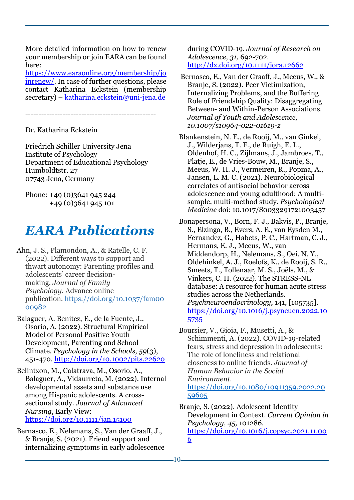More detailed information on how to renew your membership or join EARA can be found here:

[https://www.earaonline.org/membership/jo](https://www.earaonline.org/membership/joinrenew/) [inrenew/.](https://www.earaonline.org/membership/joinrenew/) In case of further questions, please contact Katharina Eckstein (membership secretary) – [katharina.eckstein@uni-jena.de](mailto:katharina.eckstein@uni-jena.de)

-------------------------------------------------

Dr. Katharina Eckstein

Friedrich Schiller University Jena Institute of Psychology Department of Educational Psychology Humboldtstr. 27 07743 Jena, Germany

Phone: +49 (0)3641 945 244 +49 (0)3641 945 101

## *EARA Publications*

Ahn, J. S., Plamondon, A., & Ratelle, C. F. (2022). Different ways to support and thwart autonomy: Parenting profiles and adolescents' career decisionmaking. *Journal of Family Psychology.* Advance online publication. [https://doi.org/10.1037/fam00](https://psycnet.apa.org/doi/10.1037/fam0000982) [00982](https://psycnet.apa.org/doi/10.1037/fam0000982)

Balaguer, A. Benítez, E., de la Fuente, J., Osorio, A. (2022). Structural Empirical Model of Personal Positive Youth Development, Parenting and School Climate. *Psychology in the Schools*, *59*(3), 451-470.<http://doi.org/10.1002/pits.22620>

Belintxon, M., Calatrava, M., Osorio, A., Balaguer, A., Vidaurreta, M. (2022). Internal developmental assets and substance use among Hispanic adolescents. A crosssectional study. *Journal of Advanced Nursing*, Early View: <https://doi.org/10.1111/jan.15100>

Bernasco, E., Nelemans, S., Van der Graaff, J., & Branje, S. (2021). Friend support and internalizing symptoms in early adolescence

during COVID-19. *Journal of Research on Adolescence, 31,* 692-702*.* <http://dx.doi.org/10.1111/jora.12662>

Bernasco, E., Van der Graaff, J., Meeus, W., & Branje, S. (2022). Peer Victimization, Internalizing Problems, and the Buffering Role of Friendship Quality: Disaggregating Between- and Within-Person Associations. *Journal of Youth and Adolescence, 10.1007/s10964-022-01619-z*

Blankenstein, N. E., de Rooij, M., van Ginkel, J., Wilderjans, T. F., de Ruigh, E. L., Oldenhof, H. C., Zijlmans, J., Jambroes, T., Platje, E., de Vries-Bouw, M., Branje, S., Meeus, W. H. J., Vermeiren, R., Popma, A., Jansen, L. M. C. (2021). Neurobiological correlates of antisocial behavior across adolescence and young adulthood: A multisample, multi-method study. *Psychological Medicine* doi: 10.1017/S0033291721003457

Bonapersona, V., Born, F. J., Bakvis, P., Branje, S., Elzinga, B., Evers, A. E., van Eysden M., Fernandez, G., Habets, P. C., Hartman, C. J., Hermans, E. J., Meeus, W., van Middendorp, H., Nelemans, S., Oei, N. Y., Oldehinkel, A. J., Roelofs, K., de Rooij, S. R., Smeets, T., Tollenaar, M. S., Joëls, M., & Vinkers, C. H. (2022). The STRESS-NL database: A resource for human acute stress studies across the Netherlands. *Psychneuroendocrinology,* 141, [105735]. [https://doi.org/10.1016/j.psyneuen.2022.10](https://doi.org/10.1016/j.psyneuen.2022.105735) [5735](https://doi.org/10.1016/j.psyneuen.2022.105735)

Boursier, V., Gioia, F., Musetti, A., & Schimmenti, A. (2022). COVID-19-related fears, stress and depression in adolescents: The role of loneliness and relational closeness to online friends. *Journal of Human Behavior in the Social Environment*. [https://doi.org/10.1080/10911359.2022.20](https://doi.org/10.1080/10911359.2022.2059605) [59605](https://doi.org/10.1080/10911359.2022.2059605)

Branje, S. (2022). Adolescent Identity Development in Context. *Current Opinion in Psychology, 45,* 101286.

[https://doi.org/10.1016/j.copsyc.2021.11.00](https://doi.org/10.1016/j.copsyc.2021.11.006) [6](https://doi.org/10.1016/j.copsyc.2021.11.006)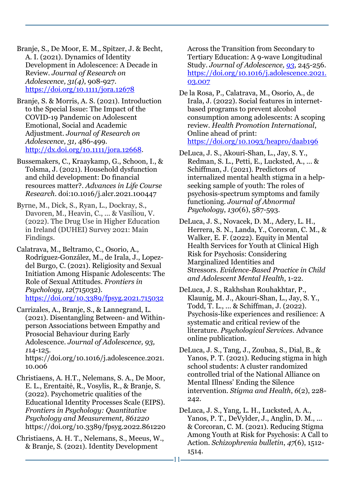Branje, S., De Moor, E. M., Spitzer, J. & Becht, A. I. (2021). Dynamics of Identity Development in Adolescence: A Decade in Review. *Journal of Research on Adolescence, 31(4)*, 908-927. <https://doi.org/10.1111/jora.12678>

Branje, S. & Morris, A. S. (2021). Introduction to the Special Issue: The Impact of the COVID-19 Pandemic on Adolescent Emotional, Social and Academic Adjustment. *Journal of Research on Adolescence, 31,* 486-499*.* <http://dx.doi.org/10.1111/jora.12668>*.*

Bussemakers, C., Kraaykamp, G., Schoon, I., & Tolsma, J. (2021). [Household dysfunction](https://iris.ucl.ac.uk/iris/publication/1892923/7)  [and child development: Do financial](https://iris.ucl.ac.uk/iris/publication/1892923/7)  [resources matter?.](https://iris.ucl.ac.uk/iris/publication/1892923/7) *Advances in Life Course Research*. doi:10.1016/j.alcr.2021.100447

Byrne, M., Dick, S., Ryan, L., Dockray, S., Davoren, M., Heavin, C., ... & Vasiliou, V. (2022). The Drug Use in Higher Education in Ireland (DUHEI) Survey 2021: Main Findings.

Calatrava, M., Beltramo, C., Osorio, A., Rodríguez-González, M., de Irala, J., Lopezdel Burgo, C. (2021). Religiosity and Sexual Initiation Among Hispanic Adolescents: The Role of Sexual Attitudes. *Frontiers in Psychology*, *12*(715032). <https://doi.org/10.3389/fpsyg.2021.715032>

Carrizales, A., Branje, S., & Lannegrand, L. (2021). Disentangling Between- and Withinperson Associations between Empathy and Prosocial Behaviour during Early Adolescence. *Journal of Adolescence, 93, 1*14-125. [https://doi.org/10.1016/j.adolescence.2021.](https://doi.org/10.1016/j.adolescence.2021.10.006) [10.006](https://doi.org/10.1016/j.adolescence.2021.10.006)

Christiaens, A. H.T., Nelemans, S. A., De Moor, E. L., Erentaitė, R., Vosylis, R., & Branje, S. (2022). Psychometric qualities of the Educational Identity Processes Scale (EIPS). *Frontiers in Psychology: Quantitative Psychology and Measurement, 861220*  <https://doi.org/10.3389/fpsyg.2022.861220>

Christiaens, A. H. T., Nelemans, S., Meeus, W., & Branje, S. (2021). Identity Development

Across the Transition from Secondary to Tertiary Education: A 9-wave Longitudinal Study. *Journal of Adolescence, [93](https://www-sciencedirect-com.proxy.library.uu.nl/journal/journal-of-adolescence/vol/93/suppl/C)*, 245-256. [https://doi.org/10.1016/j.adolescence.2021.](https://doi-org.proxy.library.uu.nl/10.1016/j.adolescence.2021.03.007) [03.007](https://doi-org.proxy.library.uu.nl/10.1016/j.adolescence.2021.03.007)

De la Rosa, P., Calatrava, M., Osorio, A., de Irala, J. (2022). Social features in internetbased programs to prevent alcohol consumption among adolescents: A scoping review. *Health Promotion International*, Online ahead of print: <https://doi.org/10.1093/heapro/daab196>

DeLuca, J. S., Akouri-Shan, L., Jay, S. Y., Redman, S. L., Petti, E., Lucksted, A., ... & Schiffman, J. (2021). Predictors of internalized mental health stigma in a helpseeking sample of youth: The roles of psychosis-spectrum symptoms and family functioning. *Journal of Abnormal Psychology*, *130*(6), 587-593.

DeLuca, J. S., Novacek, D. M., Adery, L. H., Herrera, S. N., Landa, Y., Corcoran, C. M., & Walker, E. F. (2022). Equity in Mental Health Services for Youth at Clinical High Risk for Psychosis: Considering Marginalized Identities and Stressors. *Evidence-Based Practice in Child and Adolescent Mental Health*, 1-22.

DeLuca, J. S., Rakhshan Rouhakhtar, P., Klaunig, M. J., Akouri-Shan, L., Jay, S. Y., Todd, T. L., ... & Schiffman, J. (2022). Psychosis-like experiences and resilience: A systematic and critical review of the literature. *Psychological Services*. Advance online publication.

DeLuca, J. S., Tang, J., Zoubaa, S., Dial, B., & Yanos, P. T. (2021). Reducing stigma in high school students: A cluster randomized controlled trial of the National Alliance on Mental Illness' Ending the Silence intervention. *Stigma and Health*, *6*(2), 228- 242.

DeLuca, J. S., Yang, L. H., Lucksted, A. A., Yanos, P. T., DeVylder, J., Anglin, D. M., ... & Corcoran, C. M. (2021). Reducing Stigma Among Youth at Risk for Psychosis: A Call to Action. *Schizophrenia bulletin*, *47*(6), 1512- 1514.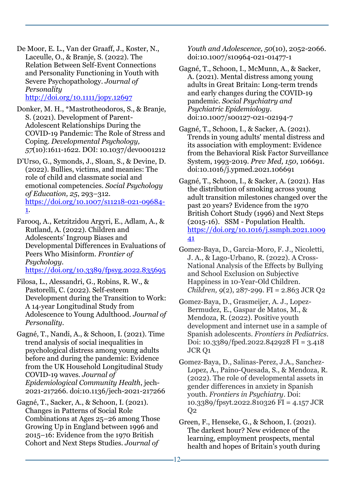De Moor, E. L., Van der Graaff, J., Koster, N., Laceulle, O., & Branje, S. (2022). The Relation Between Self-Event Connections and Personality Functioning in Youth with Severe Psychopathology. *Journal of Personality* 

<http://doi.org/10.1111/jopy.12697>

Donker, M. H., \*Mastrotheodoros, S., & Branje, S. (2021). Development of Parent-Adolescent Relationships During the COVID-19 Pandemic: The Role of Stress and Coping. *Developmental Psychology, 57*(10):1611-1622. DOI: 10.1037/dev0001212

D'Urso, G., Symonds, J., Sloan, S., & Devine, D. (2022). Bullies, victims, and meanies: The role of child and classmate social and emotional competencies. *Social Psychology of Education, 25*, 293–312*.*  [https://doi.org/10.1007/s11218-021-09684-](https://doi.org/10.1007/s11218-021-09684-1) [1.](https://doi.org/10.1007/s11218-021-09684-1)

Farooq, A., Ketzitzidou Argyri, E., Adlam, A., & Rutland, A. (2022). Children and Adolescents' Ingroup Biases and Developmental Differences in Evaluations of Peers Who Misinform. *Frontier of Psychology.* <https://doi.org/10.3389/fpsyg.2022.835695>

Filosa, L., Alessandri, G., Robins, R. W., & Pastorelli, C. (2022). Self‐esteem Development during the Transition to Work: A 14‐year Longitudinal Study from Adolescence to Young Adulthood. *Journal of Personality*.

Gagné, T., Nandi, A., & Schoon, I. (2021). Time trend analysis of social inequalities in psychological distress among young adults before and during the pandemic: Evidence from the UK Household Longitudinal Study COVID-19 waves. *Journal of Epidemiological Community Health*, jech-2021-217266. doi:10.1136/jech-2021-217266

Gagné, T., Sacker, A., & Schoon, I. (2021). Changes in Patterns of Social Role Combinations at Ages 25–26 among Those Growing Up in England between 1996 and 2015–16: Evidence from the 1970 British Cohort and Next Steps Studies. *Journal of* 

*Youth and Adolescence, 50*(10), 2052-2066. doi:10.1007/s10964-021-01477-1

Gagné, T., Schoon, I., McMunn, A., & Sacker, A. (2021). Mental distress among young adults in Great Britain: Long-term trends and early changes during the COVID-19 pandemic. *Social Psychiatry and Psychiatric Epidemiology*. doi:10.1007/s00127-021-02194-7

Gagné, T., Schoon, I., & Sacker, A. (2021). Trends in young adults' mental distress and its association with employment: Evidence from the Behavioral Risk Factor Surveillance System, 1993-2019. *Prev Med, 150*, 106691. doi:10.1016/j.ypmed.2021.106691

Gagné, T., Schoon, I., & Sacker, A. (2021). Has the distribution of smoking across young adult transition milestones changed over the past 20 years? Evidence from the 1970 British Cohort Study (1996) and Next Steps (2015-16). SSM - Population Health. [https://doi.org/10.1016/j.ssmph.2021.1009](https://doi.org/10.1016/j.ssmph.2021.100941) [41](https://doi.org/10.1016/j.ssmph.2021.100941)

Gomez-Baya, D., Garcia-Moro, F. J., Nicoletti, J. A., & Lago-Urbano, R. (2022). A Cross-National Analysis of the Effects by Bullying and School Exclusion on Subjective Happiness in 10-Year-Old Children. *Children, 9*(2), 287-299. FI = 2.863 JCR Q2

Gomez-Baya, D., Grasmeijer, A. J., Lopez-Bermudez, E., Gaspar de Matos, M., & Mendoza, R. (2022). Positive youth development and internet use in a sample of Spanish adolescents. *Frontiers in Pediatrics*. Doi: 10.3389/fped.2022.842928 FI = 3.418 JCR Q1

Gomez-Baya, D., Salinas-Perez, J.A., Sanchez-Lopez, A., Paino-Quesada, S., & Mendoza, R. (2022). [The role of developmental assets in](https://www.researchgate.net/publication/359502409_The_role_of_developmental_assets_in_gender_differences_in_anxiety_in_Spanish_youth?_sg%5B0%5D=Ryl2wbdKZqoCy5qbiUjcBlcMbvl75m061717HmsE9T4AonElRvSHhOebMxdyA5iUXZ-1FOry-xKFUXh53lxTiltf3gCPwYAKqCVqjnm0.kaS2pRt66Er4Lf4Zg4sIG_eFGxzCfEjSIQe6YGXI4XN4GuiRxY18O_0KRSKaMB85UPe4oNPphbLVd7UtQqZQbw)  [gender differences in anxiety in Spanish](https://www.researchgate.net/publication/359502409_The_role_of_developmental_assets_in_gender_differences_in_anxiety_in_Spanish_youth?_sg%5B0%5D=Ryl2wbdKZqoCy5qbiUjcBlcMbvl75m061717HmsE9T4AonElRvSHhOebMxdyA5iUXZ-1FOry-xKFUXh53lxTiltf3gCPwYAKqCVqjnm0.kaS2pRt66Er4Lf4Zg4sIG_eFGxzCfEjSIQe6YGXI4XN4GuiRxY18O_0KRSKaMB85UPe4oNPphbLVd7UtQqZQbw)  [youth.](https://www.researchgate.net/publication/359502409_The_role_of_developmental_assets_in_gender_differences_in_anxiety_in_Spanish_youth?_sg%5B0%5D=Ryl2wbdKZqoCy5qbiUjcBlcMbvl75m061717HmsE9T4AonElRvSHhOebMxdyA5iUXZ-1FOry-xKFUXh53lxTiltf3gCPwYAKqCVqjnm0.kaS2pRt66Er4Lf4Zg4sIG_eFGxzCfEjSIQe6YGXI4XN4GuiRxY18O_0KRSKaMB85UPe4oNPphbLVd7UtQqZQbw) *Frontiers in Psychiatry*. Doi: [10.3389/fpsyt.2022.810326](http://dx.doi.org/10.3389/fpsyt.2022.810326) FI = 4.157 JCR Q2

Green, F., Henseke, G., & Schoon, I. (2021). The darkest hour? New evidence of the learning, employment prospects, mental health and hopes of Britain's youth during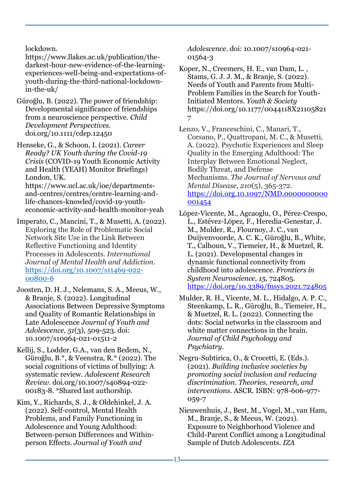lockdown.

[https://www.llakes.ac.uk/publication/the](https://www.llakes.ac.uk/publication/the-darkest-hour-new-evidence-of-the-learning-experiences-well-being-and-expectations-of-youth-during-the-third-national-lockdown-in-the-uk/)[darkest-hour-new-evidence-of-the-learning](https://www.llakes.ac.uk/publication/the-darkest-hour-new-evidence-of-the-learning-experiences-well-being-and-expectations-of-youth-during-the-third-national-lockdown-in-the-uk/)[experiences-well-being-and-expectations-of](https://www.llakes.ac.uk/publication/the-darkest-hour-new-evidence-of-the-learning-experiences-well-being-and-expectations-of-youth-during-the-third-national-lockdown-in-the-uk/)[youth-during-the-third-national-lockdown](https://www.llakes.ac.uk/publication/the-darkest-hour-new-evidence-of-the-learning-experiences-well-being-and-expectations-of-youth-during-the-third-national-lockdown-in-the-uk/)[in-the-uk/](https://www.llakes.ac.uk/publication/the-darkest-hour-new-evidence-of-the-learning-experiences-well-being-and-expectations-of-youth-during-the-third-national-lockdown-in-the-uk/)

Güroğlu, B. (2022). The power of friendship: Developmental significance of friendships from a neuroscience perspective. *Child Development Perspectives.*  doi.org/10.1111/cdep.12450

Henseke, G., & Schoon, I. (2021). *[Career](https://iris.ucl.ac.uk/iris/publication/1883594/1)  [Ready? UK Youth during the Covid-19](https://iris.ucl.ac.uk/iris/publication/1883594/1)  [Crisis](https://iris.ucl.ac.uk/iris/publication/1883594/1)* (COVID-19 Youth Economic Activity and Health (YEAH) Monitor Briefings) London, UK.

[https://www.ucl.ac.uk/ioe/departments](https://www.ucl.ac.uk/ioe/departments-and-centres/centres/centre-learning-and-life-chances-knowled/covid-19-youth-economic-activity-and-health-monitor-yeah)[and-centres/centres/centre-learning-and](https://www.ucl.ac.uk/ioe/departments-and-centres/centres/centre-learning-and-life-chances-knowled/covid-19-youth-economic-activity-and-health-monitor-yeah)[life-chances-knowled/covid-19-youth](https://www.ucl.ac.uk/ioe/departments-and-centres/centres/centre-learning-and-life-chances-knowled/covid-19-youth-economic-activity-and-health-monitor-yeah)[economic-activity-and-health-monitor-yeah](https://www.ucl.ac.uk/ioe/departments-and-centres/centres/centre-learning-and-life-chances-knowled/covid-19-youth-economic-activity-and-health-monitor-yeah)

Imperato, C., Mancini, T., & Musetti, A. (2022). Exploring the Role of Problematic Social Network Site Use in the Link Between Reflective Functioning and Identity Processes in Adolescents. *International Journal of Mental Health and Addiction*. [https://doi.org/10.1007/s11469-022-](https://doi.org/10.1007/s11469-022-00800-6) [00800-6](https://doi.org/10.1007/s11469-022-00800-6)

Joosten, D. H. J., Nelemans, S. A., Meeus, W., & Branje, S. (2022). Longitudinal Associations Between Depressive Symptoms and Quality of Romantic Relationships in Late Adolescence *Journal of Youth and Adolescence, 51*(3), 509-523. doi: 10.1007/s10964-021-01511-2

Kellij, S., Lodder, G.A., van den Bedem, N., Güroğlu, B.\*, & Veenstra, R.\* (2022). The social cognitions of victims of bullying: A systematic review. *Adolescent Research Review.* doi.org/10.1007/s40894-022- 00183-8. \*Shared last authorship.

Kim, Y., Richards, S. J., & Oldehinkel, J. A. (2022). Self-control, Mental Health Problems, and Family Functioning in Adolescence and Young Adulthood: Between-person Differences and Withinperson Effects. *Journal of Youth and* 

*Adolescence*. doi: 10.1007/s10964-021- 01564-3

Koper, N., Creemers, H. E., van Dam, L. , Stams, G. J. J. M., & Branje, S. (2022). Needs of Youth and Parents from Multi-Problem Families in the Search for Youth-Initiated Mentors. *Youth & Society*  [https://doi.org/10.1177/0044118X21105821](https://doi.org/10.1177/0044118X211058217) [7](https://doi.org/10.1177/0044118X211058217)

Lenzo, V., Franceschini, C., Manari, T., Corsano, P., Quattropani, M. C., & Musetti, A. (2022). Psychotic Experiences and Sleep Quality in the Emerging Adulthood: The Interplay Between Emotional Neglect, Bodily Threat, and Defense Mechanisms. *The Journal of Nervous and Mental Disease*, *210*(5), 365-372. [https://doi.org.10.1097/NMD.0000000000](https://doi.org.10.1097/NMD.0000000000001454) [001454](https://doi.org.10.1097/NMD.0000000000001454)

López-Vicente, M., Agcaoglu, O., Pérez-Crespo, L., Estévez-López, F., Heredia-Genestar, J. M., Mulder, R., Flournoy, J. C., van Duijvenvoorde, A. C. K., Güroğlu, B., White, T., Calhoun, V., Tiemeier, H., & Muetzel, R. L. (2021). Developmental changes in dynamic functional connectivity from childhood into adolescence. *Frontiers in System Neuroscience, 15,* 724805*.* <https://doi.org/10.3389/fnsys.2021.724805>

Mulder, R. H., Vicente, M. L., Hidalgo, A. P. C., Steenkamp, L. R., Güroğlu, B., Tiemeier, H., & Muetzel, R. L. (2022). Connecting the dots: Social networks in the classroom and white matter connections in the brain. *Journal of Child Psychology and Psychiatry.*

Negru-Subtirica, O., & Crocetti, E. (Eds.). (2021). *Building inclusive societies by promoting social inclusion and reducing discrimination. Theories, research, and interventions*. ASCR. ISBN: 978-606-977- 059-7

Nieuwenhuis, J., Best, M., Vogel, M., van Ham, M., Branje, S., & Meeus, W. (2021). Exposure to Neighborhood Violence and Child-Parent Conflict among a Longitudinal Sample of Dutch Adolescents. *IZA*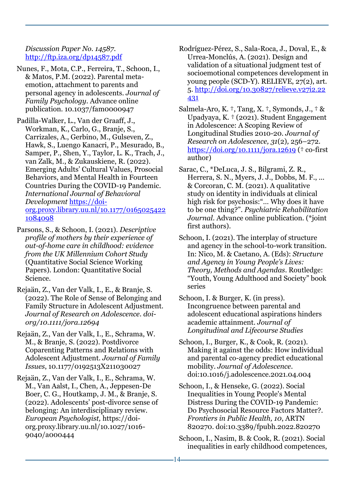*Discussion Paper No. 14587*. <http://ftp.iza.org/dp14587.pdf>

- Nunes, F., Mota, C.P., Ferreira, T., Schoon, I., & Matos, P.M. (2022). Parental metaemotion, attachment to parents and personal agency in adolescents. *Journal of Family Psychology*. Advance online publication. 10.1037/fam0000947
- Padilla-Walker, L., Van der Graaff, J., Workman, K., Carlo, G., Branje, S., Carrizales, A., Gerbino, M., Gulseven, Z., Hawk, S., Luengo Kanacri, P., Mesurado, B., Samper, P., Shen, Y., Taylor, L. K., Trach, J., van Zalk, M., & Zukauskiene, R. (2022). Emerging Adults' Cultural Values, Prosocial Behaviors, and Mental Health in Fourteen Countries During the COVID-19 Pandemic. *International Journal of Behavioral Development* [https://doi](https://doi-org.proxy.library.uu.nl/10.1177/01650254221084098)[org.proxy.library.uu.nl/10.1177/0165025422](https://doi-org.proxy.library.uu.nl/10.1177/01650254221084098) [1084098](https://doi-org.proxy.library.uu.nl/10.1177/01650254221084098)
- Parsons, S., & Schoon, I. (2021). *[Descriptive](https://iris.ucl.ac.uk/iris/publication/1915377/1)  [profile of mothers by their experience of](https://iris.ucl.ac.uk/iris/publication/1915377/1)  [out-of-home care in childhood: evidence](https://iris.ucl.ac.uk/iris/publication/1915377/1)  [from the UK Millennium Cohort Study](https://iris.ucl.ac.uk/iris/publication/1915377/1)* (Quantitative Social Science Working Papers). London: Quantitative Social Science.
- Rejaän, Z., Van der Valk, I., E., & Branje, S. (2022). The Role of Sense of Belonging and Family Structure in Adolescent Adjustment. *Journal of Research on Adolescence. doiorg/10.1111/jora.12694*
- Rejaän, Z., Van der Valk, I., E., Schrama, W. M., & Branje, S. (2022). Postdivorce Coparenting Patterns and Relations with Adolescent Adjustment. *Journal of Family Issues*, 10.1177/0192513X211030027
- Rejaän, Z., Van der Valk, I., E., Schrama, W. M., Van Aalst, I., Chen, A., Jeppesen-De Boer, C. G., Houtkamp, J. M., & Branje, S. (2022). Adolescents' post-divorce sense of belonging: An interdisciplinary review. *European Psychologist,* [https://doi](https://doi-org.proxy.library.uu.nl/10.1027/1016-9040/a000444)[org.proxy.library.uu.nl/10.1027/1016-](https://doi-org.proxy.library.uu.nl/10.1027/1016-9040/a000444) [9040/a000444](https://doi-org.proxy.library.uu.nl/10.1027/1016-9040/a000444)
- Rodríguez-Pérez, S., Sala-Roca, J., Doval, E., & Urrea-Monclús, A. (2021). Design and validation of a situational judgment test of socioemotional competences development in young people (SCD-Y). RELIEVE, 27(2), art. 5. [http://doi.org/10.30827/relieve.v27i2.22](http://doi.org/10.30827/relieve.v27i2.22431) [431](http://doi.org/10.30827/relieve.v27i2.22431)
- Salmela-Aro, K. †, Tang, X. †, Symonds, J., † & Upadyaya, K. † (2021). Student Engagement in Adolescence: A Scoping Review of Longitudinal Studies 2010-20. *Journal of Research on Adolescence, 31*(2)*,* 256–272. <https://doi.org/10.1111/jora.12619> († co-first author)
- Sarac, C., \*DeLuca, J. S., Bilgrami, Z. R., Herrera, S. N., Myers, J. J., Dobbs, M. F., ... & Corcoran, C. M. (2021). A qualitative study on identity in individuals at clinical high risk for psychosis:"… Why does it have to be one thing?". *Psychiatric Rehabilitation Journal*. Advance online publication. (\*joint first authors).
- Schoon, I. (2021). The interplay of structure and agency in the school-to-work transition. In: Nico, M. & Caetano, A. (Eds): *Structure and Agency in Young People's Lives: Theory, Methods and Agendas*. Routledge: "Youth, Young Adulthood and Society" book series
- Schoon, I. & Burger, K. (in press). Incongruence between parental and adolescent educational aspirations hinders academic attainment. *Journal of Longitudinal and Lifecourse Studies*
- Schoon, I., Burger, K., & Cook, R. (2021). [Making it against the odds: How individual](https://iris.ucl.ac.uk/iris/publication/1860496/1)  [and parental co-agency predict educational](https://iris.ucl.ac.uk/iris/publication/1860496/1)  [mobility.](https://iris.ucl.ac.uk/iris/publication/1860496/1) *Journal of Adolescence*. doi:10.1016/j.adolescence.2021.04.004
- Schoon, I., & Henseke, G. (2022). [Social](https://iris.ucl.ac.uk/iris/publication/1945029/3)  [Inequalities in Young People's Mental](https://iris.ucl.ac.uk/iris/publication/1945029/3)  [Distress During the COVID-19 Pandemic:](https://iris.ucl.ac.uk/iris/publication/1945029/3)  [Do Psychosocial Resource Factors Matter?.](https://iris.ucl.ac.uk/iris/publication/1945029/3) *Frontiers in Public Health, 10*, ARTN 820270. doi:10.3389/fpubh.2022.820270
- Schoon, I., Nasim, B. & Cook, R. (2021). Social inequalities in early childhood competences,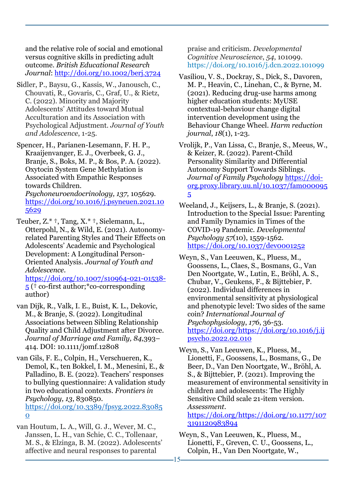and the relative role of social and emotional versus cognitive skills in predicting adult outcome. *British Educational Research Journal*:<http://doi.org/10.1002/berj.3724>

- Sidler, P., Baysu, G., Kassis, W., Janousch, C., Chouvati, R., Govaris, C., Graf, U., & Rietz, C. (2022). Minority and Majority Adolescents' Attitudes toward Mutual Acculturation and its Association with Psychological Adjustment. *Journal of Youth and Adolescence*, 1-25.
- Spencer, H., Parianen-Lesemann, F. H. P., Kraaijenvanger, E. J., Overbeek, G. J., Branje, S., Boks, M. P., & Bos, P. A. (2022). Oxytocin System Gene Methylation is Associated with Empathic Responses towards Children.

*Psychoneuroendocrinology, 137,* 105629. [https://doi.org/10.1016/j.psyneuen.2021.10](https://doi.org/10.1016/j.psyneuen.2021.105629) [5629](https://doi.org/10.1016/j.psyneuen.2021.105629)

Teuber, Z.\* †, Tang, X.\* †, Sielemann, L., Otterpohl, N., & Wild, E. (2021). Autonomyrelated Parenting Styles and Their Effects on Adolescents' Academic and Psychological Development: A Longitudinal Person-Oriented Analysis. *Journal of Youth and Adolescence.* [https://doi.org/10.1007/s10964-021-01538-](https://doi.org/10.1007/s10964-021-01538-5)

[5](https://doi.org/10.1007/s10964-021-01538-5) († co-first author;\*co-corresponding author)

van Dijk, R., Valk, I. E., Buist, K. L., Dekovic, M., & Branje, S. (2022). Longitudinal Associations between Sibling Relationship Quality and Child Adjustment after Divorce. *Journal of Marriage and Family, 84,*393– 414*.* DOI: 10.1111/jomf.12808

van Gils, F. E., Colpin, H., Verschueren, K., Demol, K., ten Bokkel, I. M., Menesini, E., & Palladino, B. E. (2022). Teachers' responses to bullying questionnaire: A validation study in two educational contexts. *Frontiers in Psychology, 13*, 830850. [https://doi.org/10.3389/fpsyg.2022.83085](https://doi.org/10.3389/fpsyg.2022.830850) [0](https://doi.org/10.3389/fpsyg.2022.830850)

van Houtum, L. A., Will, G. J., Wever, M. C., Janssen, L. H., van Schie, C. C., Tollenaar, M. S., & Elzinga, B. M. (2022). Adolescents' affective and neural responses to parental

praise and criticism. *Developmental Cognitive Neuroscience*, *54*, 101099. <https://doi.org/10.1016/j.dcn.2022.101099>

Vasiliou, V. S., Dockray, S., Dick, S., Davoren, M. P., Heavin, C., Linehan, C., & Byrne, M. (2021). Reducing drug-use harms among higher education students: MyUSE contextual-behaviour change digital intervention development using the Behaviour Change Wheel. *Harm reduction journal*, *18*(1), 1-23.

Vrolijk, P., Van Lissa, C., Branje, S., Meeus, W., & Keizer, R. (2022). Parent-Child Personality Similarity and Differential Autonomy Support Towards Siblings. *Journal of Family Psychology* [https://doi](https://doi-org.proxy.library.uu.nl/10.1037/fam0000955)[org.proxy.library.uu.nl/10.1037/fam000095](https://doi-org.proxy.library.uu.nl/10.1037/fam0000955) [5](https://doi-org.proxy.library.uu.nl/10.1037/fam0000955)

- Weeland, J., Keijsers, L., & Branje, S. (2021). Introduction to the Special Issue: Parenting and Family Dynamics in Times of the COVID-19 Pandemic. *Developmental Psychology 57*(10), 1559-1562. <https://doi.org/10.1037/dev0001252>
- Weyn, S., Van Leeuwen, K., Pluess, M., Goossens, L., Claes, S., Bosmans, G., Van Den Noortgate, W., Lutin, E., Bröhl, A. S., Chubar, V., Geukens, F., & Bijttebier, P. (2022). Individual differences in environmental sensitivity at physiological and phenotypic level: Two sides of the same coin? *International Journal of Psychophysiology*, *176*, 36-53. [https://doi.org/https://doi.org/10.1016/j.ij](https://doi.org/https:/doi.org/10.1016/j.ijpsycho.2022.02.010) [psycho.2022.02.010](https://doi.org/https:/doi.org/10.1016/j.ijpsycho.2022.02.010)
- Weyn, S., Van Leeuwen, K., Pluess, M., Lionetti, F., Goossens, L., Bosmans, G., De Beer, D., Van Den Noortgate, W., Bröhl, A. S., & Bijttebier, P. (2021). Improving the measurement of environmental sensitivity in children and adolescents: The Highly Sensitive Child scale 21-item version. *Assessment*.

[https://doi.org/https://doi.org/10.1177/107](https://doi.org/https:/doi.org/10.1177/1073191120983894) [3191120983894](https://doi.org/https:/doi.org/10.1177/1073191120983894)

Weyn, S., Van Leeuwen, K., Pluess, M., Lionetti, F., Greven, C. U., Goossens, L., Colpin, H., Van Den Noortgate, W.,